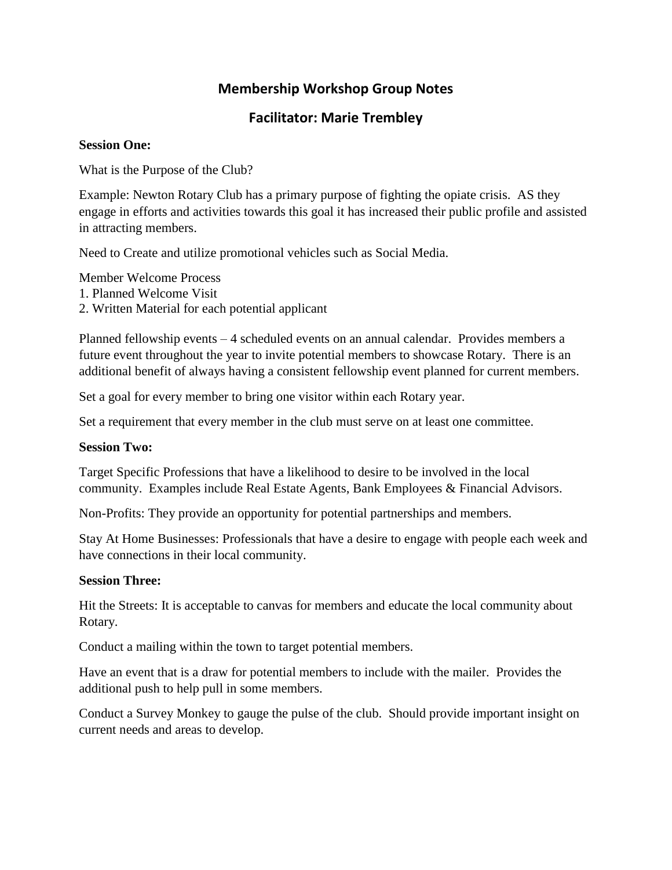# **Membership Workshop Group Notes**

# **Facilitator: Marie Trembley**

### **Session One:**

What is the Purpose of the Club?

Example: Newton Rotary Club has a primary purpose of fighting the opiate crisis. AS they engage in efforts and activities towards this goal it has increased their public profile and assisted in attracting members.

Need to Create and utilize promotional vehicles such as Social Media.

Member Welcome Process

- 1. Planned Welcome Visit
- 2. Written Material for each potential applicant

Planned fellowship events – 4 scheduled events on an annual calendar. Provides members a future event throughout the year to invite potential members to showcase Rotary. There is an additional benefit of always having a consistent fellowship event planned for current members.

Set a goal for every member to bring one visitor within each Rotary year.

Set a requirement that every member in the club must serve on at least one committee.

### **Session Two:**

Target Specific Professions that have a likelihood to desire to be involved in the local community. Examples include Real Estate Agents, Bank Employees & Financial Advisors.

Non-Profits: They provide an opportunity for potential partnerships and members.

Stay At Home Businesses: Professionals that have a desire to engage with people each week and have connections in their local community.

### **Session Three:**

Hit the Streets: It is acceptable to canvas for members and educate the local community about Rotary.

Conduct a mailing within the town to target potential members.

Have an event that is a draw for potential members to include with the mailer. Provides the additional push to help pull in some members.

Conduct a Survey Monkey to gauge the pulse of the club. Should provide important insight on current needs and areas to develop.